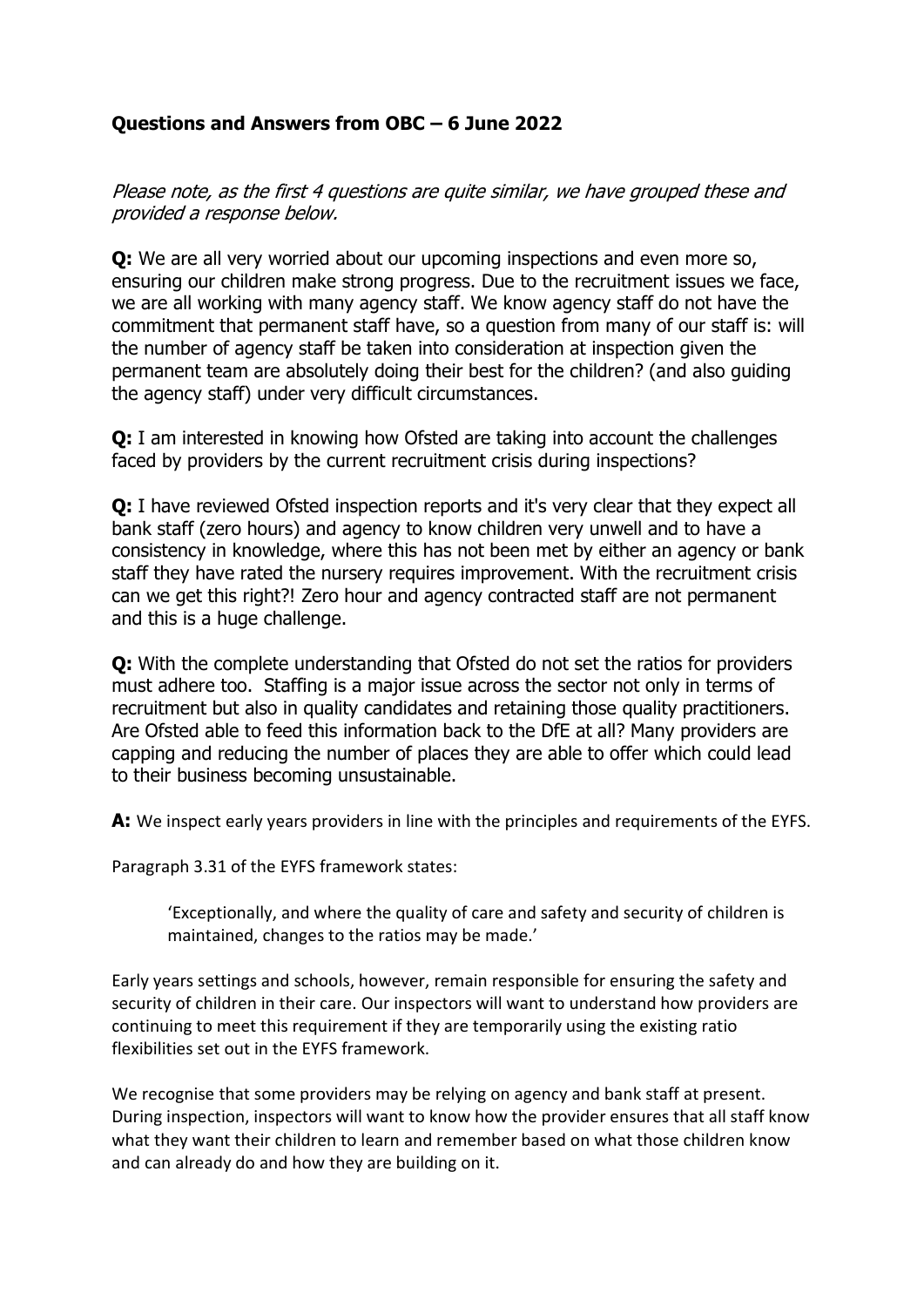## Questions and Answers from OBC – 6 June 2022

Please note, as the first 4 questions are quite similar, we have grouped these and provided a response below.

**Q:** We are all very worried about our upcoming inspections and even more so, ensuring our children make strong progress. Due to the recruitment issues we face, we are all working with many agency staff. We know agency staff do not have the commitment that permanent staff have, so a question from many of our staff is: will the number of agency staff be taken into consideration at inspection given the permanent team are absolutely doing their best for the children? (and also guiding the agency staff) under very difficult circumstances.

Q: I am interested in knowing how Ofsted are taking into account the challenges faced by providers by the current recruitment crisis during inspections?

Q: I have reviewed Ofsted inspection reports and it's very clear that they expect all bank staff (zero hours) and agency to know children very unwell and to have a consistency in knowledge, where this has not been met by either an agency or bank staff they have rated the nursery requires improvement. With the recruitment crisis can we get this right?! Zero hour and agency contracted staff are not permanent and this is a huge challenge.

Q: With the complete understanding that Ofsted do not set the ratios for providers must adhere too. Staffing is a major issue across the sector not only in terms of recruitment but also in quality candidates and retaining those quality practitioners. Are Ofsted able to feed this information back to the DfE at all? Many providers are capping and reducing the number of places they are able to offer which could lead to their business becoming unsustainable.

A: We inspect early years providers in line with the principles and requirements of the EYFS.

Paragraph 3.31 of the EYFS framework states:

'Exceptionally, and where the quality of care and safety and security of children is maintained, changes to the ratios may be made.'

Early years settings and schools, however, remain responsible for ensuring the safety and security of children in their care. Our inspectors will want to understand how providers are continuing to meet this requirement if they are temporarily using the existing ratio flexibilities set out in the EYFS framework.

We recognise that some providers may be relying on agency and bank staff at present. During inspection, inspectors will want to know how the provider ensures that all staff know what they want their children to learn and remember based on what those children know and can already do and how they are building on it.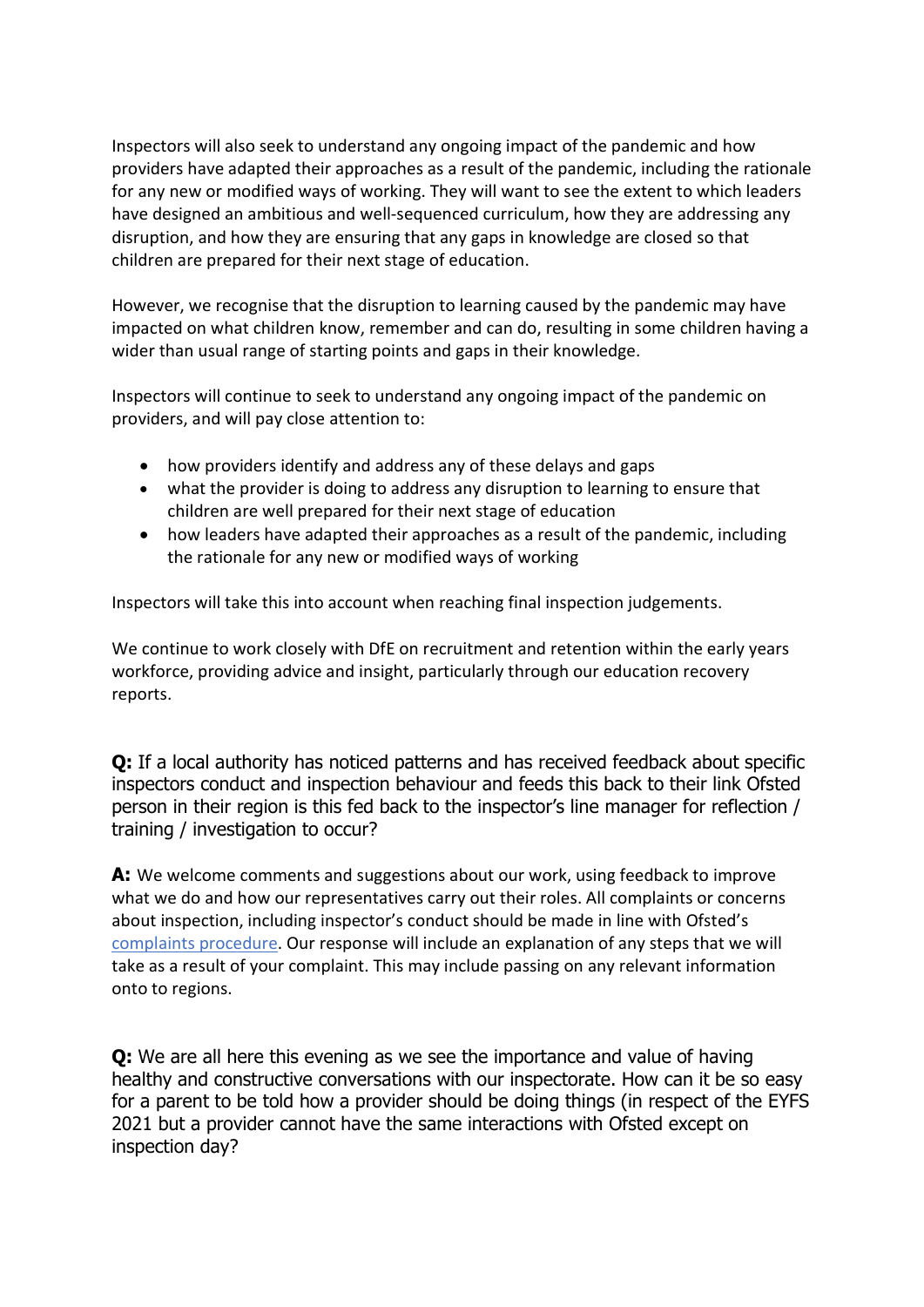Inspectors will also seek to understand any ongoing impact of the pandemic and how providers have adapted their approaches as a result of the pandemic, including the rationale for any new or modified ways of working. They will want to see the extent to which leaders have designed an ambitious and well-sequenced curriculum, how they are addressing any disruption, and how they are ensuring that any gaps in knowledge are closed so that children are prepared for their next stage of education.

However, we recognise that the disruption to learning caused by the pandemic may have impacted on what children know, remember and can do, resulting in some children having a wider than usual range of starting points and gaps in their knowledge.

Inspectors will continue to seek to understand any ongoing impact of the pandemic on providers, and will pay close attention to:

- how providers identify and address any of these delays and gaps
- what the provider is doing to address any disruption to learning to ensure that children are well prepared for their next stage of education
- how leaders have adapted their approaches as a result of the pandemic, including the rationale for any new or modified ways of working

Inspectors will take this into account when reaching final inspection judgements.

We continue to work closely with DfE on recruitment and retention within the early years workforce, providing advice and insight, particularly through our education recovery reports.

Q: If a local authority has noticed patterns and has received feedback about specific inspectors conduct and inspection behaviour and feeds this back to their link Ofsted person in their region is this fed back to the inspector's line manager for reflection / training / investigation to occur?

A: We welcome comments and suggestions about our work, using feedback to improve what we do and how our representatives carry out their roles. All complaints or concerns about inspection, including inspector's conduct should be made in line with Ofsted's complaints procedure. Our response will include an explanation of any steps that we will take as a result of your complaint. This may include passing on any relevant information onto to regions.

Q: We are all here this evening as we see the importance and value of having healthy and constructive conversations with our inspectorate. How can it be so easy for a parent to be told how a provider should be doing things (in respect of the EYFS 2021 but a provider cannot have the same interactions with Ofsted except on inspection day?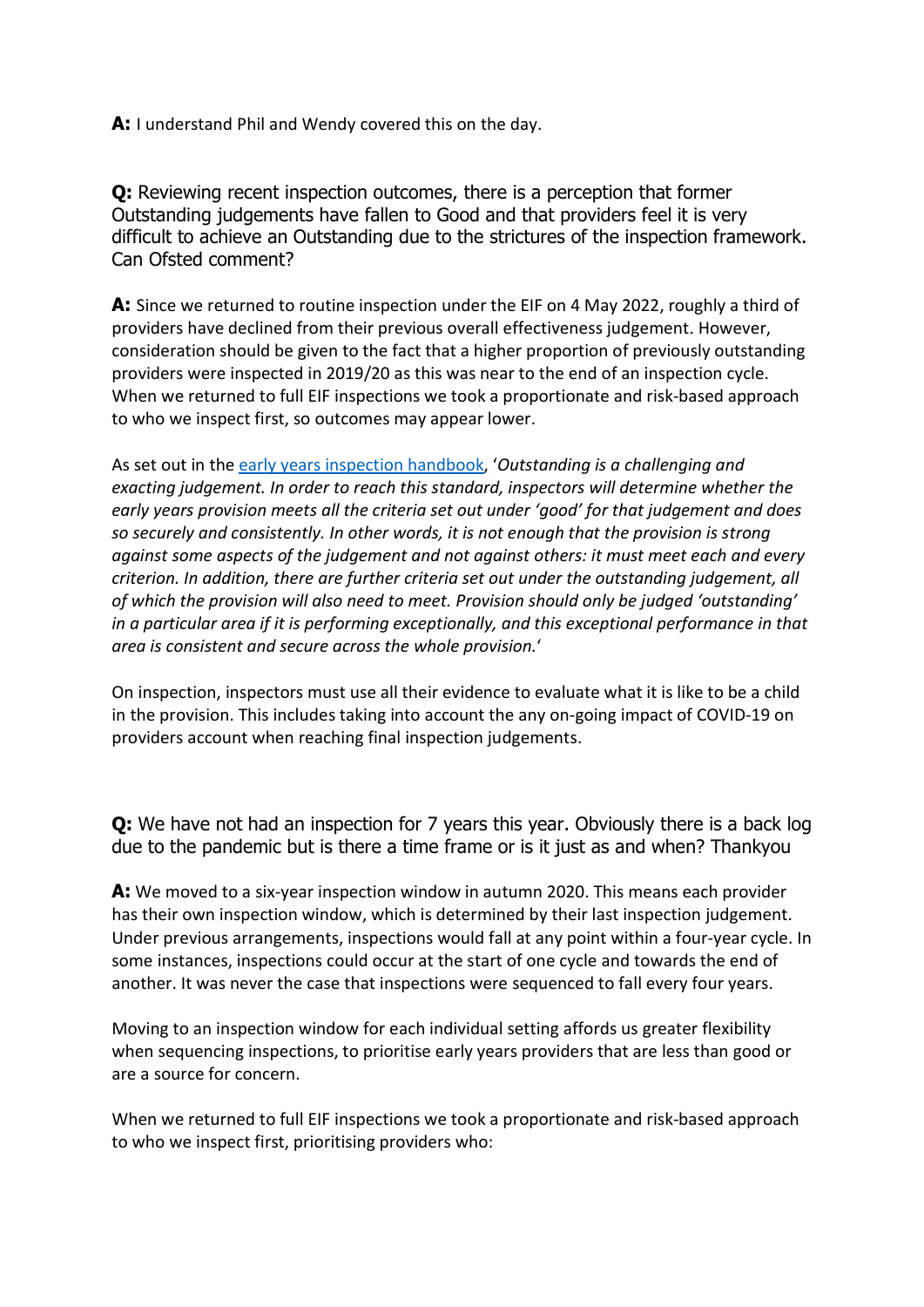A: I understand Phil and Wendy covered this on the day.

Q: Reviewing recent inspection outcomes, there is a perception that former Outstanding judgements have fallen to Good and that providers feel it is very difficult to achieve an Outstanding due to the strictures of the inspection framework. Can Ofsted comment?

A: Since we returned to routine inspection under the EIF on 4 May 2022, roughly a third of providers have declined from their previous overall effectiveness judgement. However, consideration should be given to the fact that a higher proportion of previously outstanding providers were inspected in 2019/20 as this was near to the end of an inspection cycle. When we returned to full EIF inspections we took a proportionate and risk-based approach to who we inspect first, so outcomes may appear lower.

As set out in the early years inspection handbook, 'Outstanding is a challenging and exacting judgement. In order to reach this standard, inspectors will determine whether the early years provision meets all the criteria set out under 'good' for that judgement and does so securely and consistently. In other words, it is not enough that the provision is strong against some aspects of the judgement and not against others: it must meet each and every criterion. In addition, there are further criteria set out under the outstanding judgement, all of which the provision will also need to meet. Provision should only be judged 'outstanding' in a particular area if it is performing exceptionally, and this exceptional performance in that area is consistent and secure across the whole provision.'

On inspection, inspectors must use all their evidence to evaluate what it is like to be a child in the provision. This includes taking into account the any on-going impact of COVID-19 on providers account when reaching final inspection judgements.

**Q:** We have not had an inspection for 7 years this year. Obviously there is a back log due to the pandemic but is there a time frame or is it just as and when? Thankyou

A: We moved to a six-year inspection window in autumn 2020. This means each provider has their own inspection window, which is determined by their last inspection judgement. Under previous arrangements, inspections would fall at any point within a four-year cycle. In some instances, inspections could occur at the start of one cycle and towards the end of another. It was never the case that inspections were sequenced to fall every four years. 

Moving to an inspection window for each individual setting affords us greater flexibility when sequencing inspections, to prioritise early years providers that are less than good or are a source for concern. 

When we returned to full EIF inspections we took a proportionate and risk-based approach to who we inspect first, prioritising providers who: